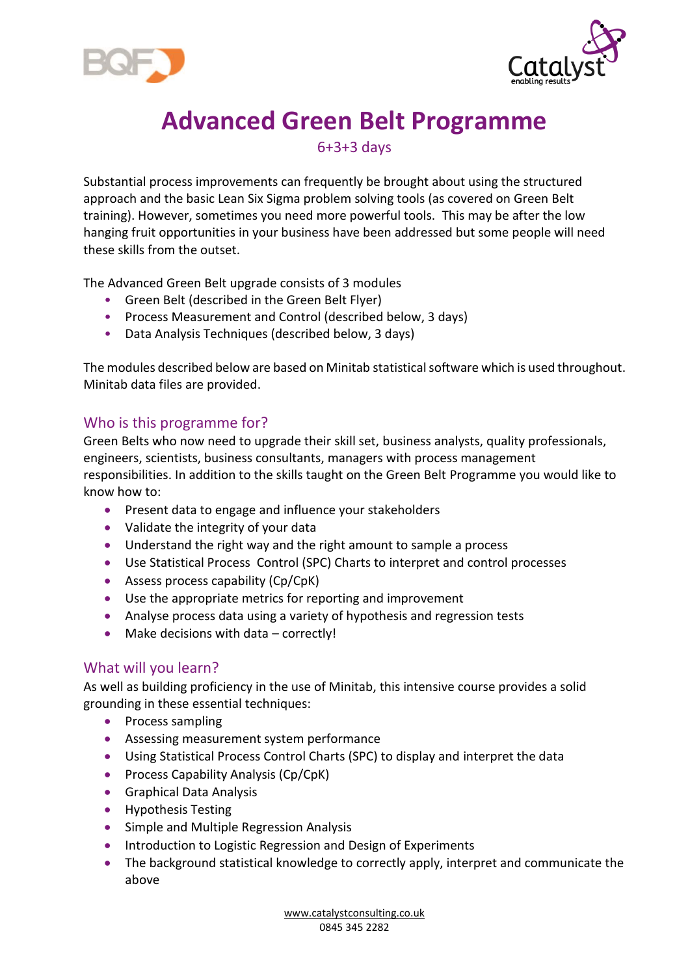



# **Advanced Green Belt Programme**

6+3+3 days

Substantial process improvements can frequently be brought about using the structured approach and the basic Lean Six Sigma problem solving tools (as covered on Green Belt training). However, sometimes you need more powerful tools. This may be after the low hanging fruit opportunities in your business have been addressed but some people will need these skills from the outset.

The Advanced Green Belt upgrade consists of 3 modules

- Green Belt (described in the Green Belt Flyer)
- Process Measurement and Control (described below, 3 days)
- Data Analysis Techniques (described below, 3 days)

The modules described below are based on Minitab statistical software which is used throughout. Minitab data files are provided.

## Who is this programme for?

Green Belts who now need to upgrade their skill set, business analysts, quality professionals, engineers, scientists, business consultants, managers with process management responsibilities. In addition to the skills taught on the Green Belt Programme you would like to know how to:

- Present data to engage and influence your stakeholders
- Validate the integrity of your data
- Understand the right way and the right amount to sample a process
- Use Statistical Process Control (SPC) Charts to interpret and control processes
- Assess process capability (Cp/CpK)
- Use the appropriate metrics for reporting and improvement
- Analyse process data using a variety of hypothesis and regression tests
- Make decisions with data correctly!

## What will you learn?

As well as building proficiency in the use of Minitab, this intensive course provides a solid grounding in these essential techniques:

- Process sampling
- Assessing measurement system performance
- Using Statistical Process Control Charts (SPC) to display and interpret the data
- Process Capability Analysis (Cp/CpK)
- Graphical Data Analysis
- Hypothesis Testing
- Simple and Multiple Regression Analysis
- Introduction to Logistic Regression and Design of Experiments
- The background statistical knowledge to correctly apply, interpret and communicate the above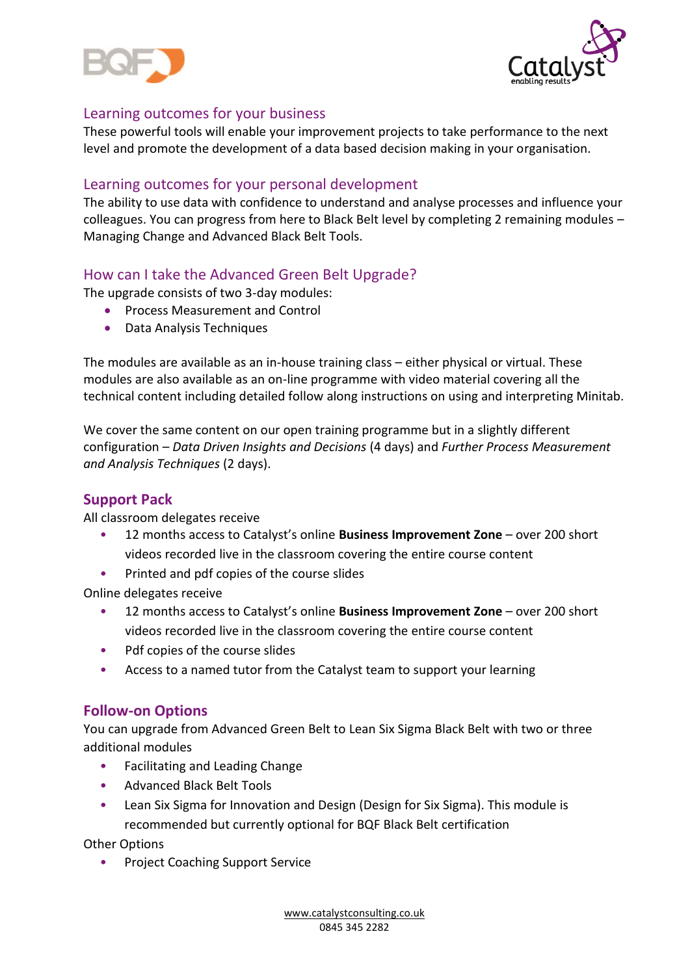



# Learning outcomes for your business

These powerful tools will enable your improvement projects to take performance to the next level and promote the development of a data based decision making in your organisation.

## Learning outcomes for your personal development

The ability to use data with confidence to understand and analyse processes and influence your colleagues. You can progress from here to Black Belt level by completing 2 remaining modules – Managing Change and Advanced Black Belt Tools.

# How can I take the Advanced Green Belt Upgrade?

The upgrade consists of two 3-day modules:

- Process Measurement and Control
- Data Analysis Techniques

The modules are available as an in-house training class – either physical or virtual. These modules are also available as an on-line programme with video material covering all the technical content including detailed follow along instructions on using and interpreting Minitab.

We cover the same content on our open training programme but in a slightly different configuration – *Data Driven Insights and Decisions* (4 days) and *Further Process Measurement and Analysis Techniques* (2 days).

## **Support Pack**

All classroom delegates receive

- 12 months access to Catalyst's online **Business Improvement Zone** over 200 short videos recorded live in the classroom covering the entire course content
- Printed and pdf copies of the course slides

Online delegates receive

- 12 months access to Catalyst's online **Business Improvement Zone** over 200 short videos recorded live in the classroom covering the entire course content
- Pdf copies of the course slides
- Access to a named tutor from the Catalyst team to support your learning

## **Follow-on Options**

You can upgrade from Advanced Green Belt to Lean Six Sigma Black Belt with two or three additional modules

- Facilitating and Leading Change
- Advanced Black Belt Tools
- Lean Six Sigma for Innovation and Design (Design for Six Sigma). This module is recommended but currently optional for BQF Black Belt certification

Other Options

• Project Coaching Support Service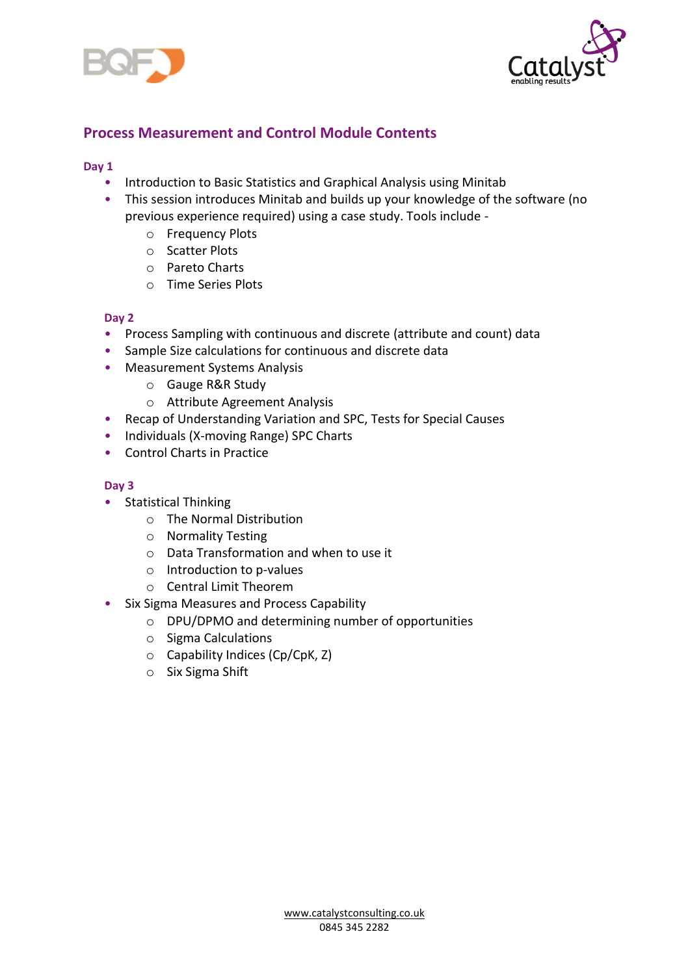



# **Process Measurement and Control Module Contents**

#### **Day 1**

- Introduction to Basic Statistics and Graphical Analysis using Minitab
- This session introduces Minitab and builds up your knowledge of the software (no previous experience required) using a case study. Tools include
	- o Frequency Plots
	- o Scatter Plots
	- o Pareto Charts
	- o Time Series Plots

#### **Day 2**

- Process Sampling with continuous and discrete (attribute and count) data
- Sample Size calculations for continuous and discrete data
- Measurement Systems Analysis
	- o Gauge R&R Study
	- o Attribute Agreement Analysis
- Recap of Understanding Variation and SPC, Tests for Special Causes
- Individuals (X-moving Range) SPC Charts
- Control Charts in Practice

#### **Day 3**

- Statistical Thinking
	- o The Normal Distribution
	- o Normality Testing
	- o Data Transformation and when to use it
	- o Introduction to p-values
	- o Central Limit Theorem
- Six Sigma Measures and Process Capability
	- o DPU/DPMO and determining number of opportunities
	- o Sigma Calculations
	- o Capability Indices (Cp/CpK, Z)
	- o Six Sigma Shift